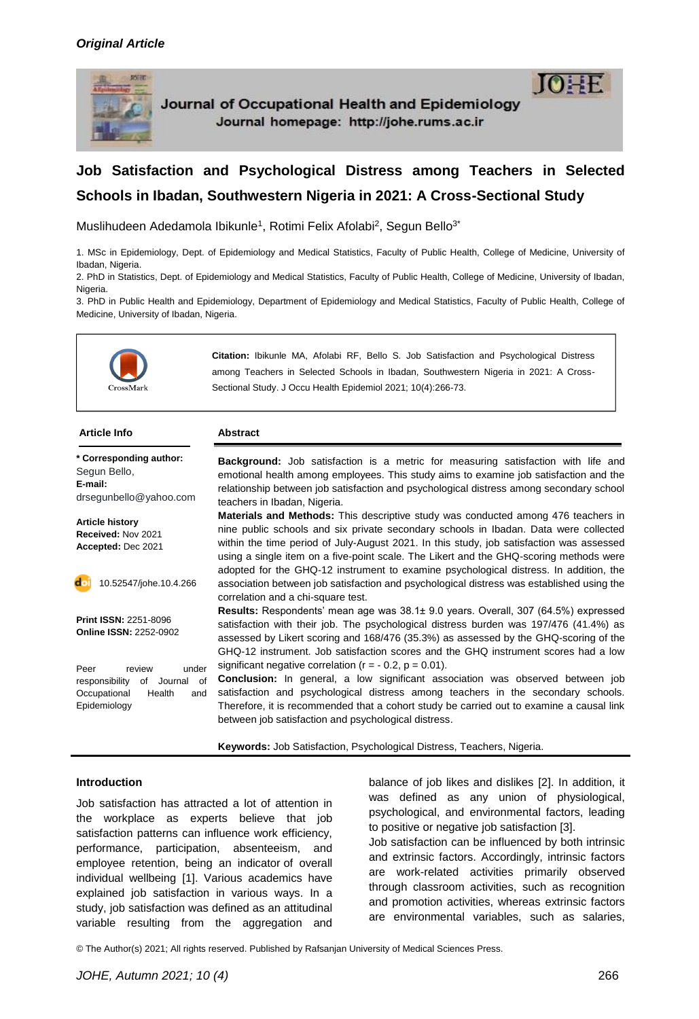

Journal of Occupational Health and Epidemiology Journal homepage: http://johe.rums.ac.ir



# **Job Satisfaction and Psychological Distress among Teachers in Selected Schools in Ibadan, Southwestern Nigeria in 2021: A Cross-Sectional Study**

Muslihudeen Adedamola Ibikunle<sup>1</sup>, Rotimi Felix Afolabi<sup>2</sup>, Segun Bello<sup>3\*</sup>

1. MSc in Epidemiology, Dept. of Epidemiology and Medical Statistics, Faculty of Public Health, College of Medicine, University of Ibadan, Nigeria.

2. PhD in Statistics, Dept. of Epidemiology and Medical Statistics, Faculty of Public Health, College of Medicine, University of Ibadan, Nigeria.

3. PhD in Public Health and Epidemiology, Department of Epidemiology and Medical Statistics, Faculty of Public Health, College of Medicine, University of Ibadan, Nigeria.



| <b>Article Info</b>                                                                                               | <b>Abstract</b>                                                                                                                                                                                                                                                                                                                                                                                                                                                 |
|-------------------------------------------------------------------------------------------------------------------|-----------------------------------------------------------------------------------------------------------------------------------------------------------------------------------------------------------------------------------------------------------------------------------------------------------------------------------------------------------------------------------------------------------------------------------------------------------------|
| * Corresponding author:<br>Segun Bello,<br>E-mail:<br>drsegunbello@yahoo.com                                      | <b>Background:</b> Job satisfaction is a metric for measuring satisfaction with life and<br>emotional health among employees. This study aims to examine job satisfaction and the<br>relationship between job satisfaction and psychological distress among secondary school<br>teachers in Ibadan, Nigeria.                                                                                                                                                    |
| <b>Article history</b><br>Received: Nov 2021<br>Accepted: Dec 2021                                                | <b>Materials and Methods:</b> This descriptive study was conducted among 476 teachers in<br>nine public schools and six private secondary schools in Ibadan. Data were collected<br>within the time period of July-August 2021. In this study, job satisfaction was assessed<br>using a single item on a five-point scale. The Likert and the GHQ-scoring methods were<br>adopted for the GHQ-12 instrument to examine psychological distress. In addition, the |
| 10.52547/johe.10.4.266                                                                                            | association between job satisfaction and psychological distress was established using the<br>correlation and a chi-square test.                                                                                                                                                                                                                                                                                                                                 |
| <b>Print ISSN: 2251-8096</b><br><b>Online ISSN: 2252-0902</b>                                                     | Results: Respondents' mean age was 38.1± 9.0 years. Overall, 307 (64.5%) expressed<br>satisfaction with their job. The psychological distress burden was 197/476 (41.4%) as<br>assessed by Likert scoring and 168/476 (35.3%) as assessed by the GHQ-scoring of the<br>GHQ-12 instrument. Job satisfaction scores and the GHQ instrument scores had a low                                                                                                       |
| Peer<br>review<br>under<br>of<br>responsibility<br>of<br>Journal<br>Occupational<br>Health<br>and<br>Epidemiology | significant negative correlation ( $r = -0.2$ , $p = 0.01$ ).<br>Conclusion: In general, a low significant association was observed between job<br>satisfaction and psychological distress among teachers in the secondary schools.<br>Therefore, it is recommended that a cohort study be carried out to examine a causal link<br>between job satisfaction and psychological distress.                                                                         |

**Keywords:** Job Satisfaction, Psychological Distress, Teachers, Nigeria.

#### **Introduction**

Job satisfaction has attracted a lot of attention in the workplace as experts believe that job satisfaction patterns can influence work efficiency, performance, participation, absenteeism, and employee retention, being an indicator of overall individual wellbeing [1]. Various academics have explained job satisfaction in various ways. In a study, job satisfaction was defined as an attitudinal variable resulting from the aggregation and balance of job likes and dislikes [2]. In addition, it was defined as any union of physiological, psychological, and environmental factors, leading to positive or negative job satisfaction [3].

Job satisfaction can be influenced by both intrinsic and extrinsic factors. Accordingly, intrinsic factors are work-related activities primarily observed through classroom activities, such as recognition and promotion activities, whereas extrinsic factors are environmental variables, such as salaries,

© The Author(s) 2021; All rights reserved. Published by Rafsanjan University of Medical Sciences Press.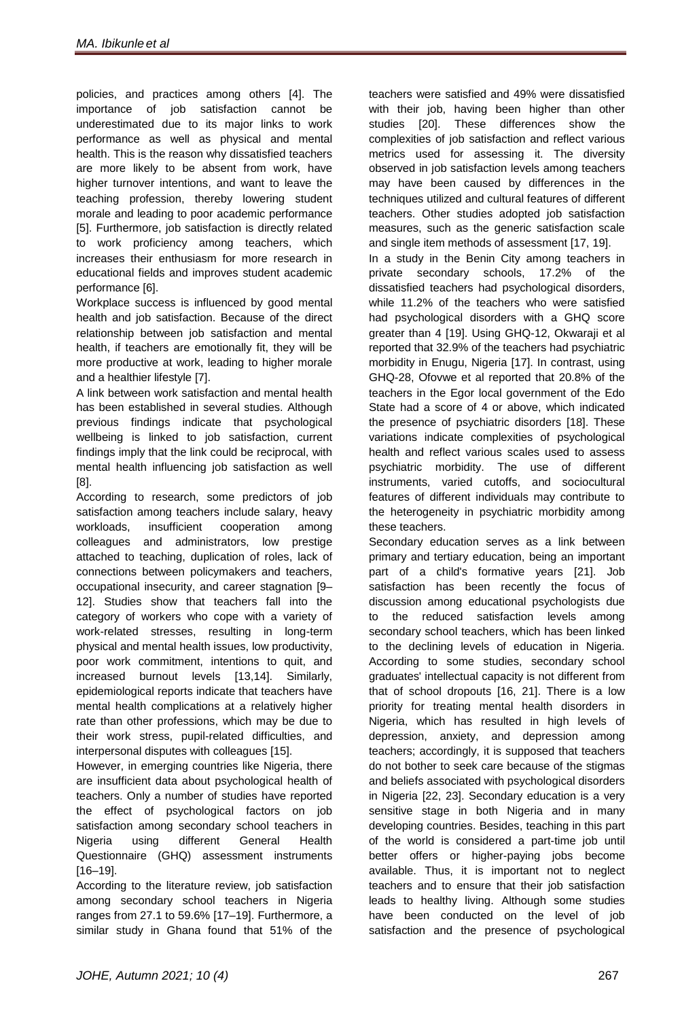policies, and practices among others [4]. The importance of job satisfaction cannot be underestimated due to its major links to work performance as well as physical and mental health. This is the reason why dissatisfied teachers are more likely to be absent from work, have higher turnover intentions, and want to leave the teaching profession, thereby lowering student morale and leading to poor academic performance [5]. Furthermore, job satisfaction is directly related to work proficiency among teachers, which increases their enthusiasm for more research in educational fields and improves student academic performance [6].

Workplace success is influenced by good mental health and job satisfaction. Because of the direct relationship between job satisfaction and mental health, if teachers are emotionally fit, they will be more productive at work, leading to higher morale and a healthier lifestyle [7].

A link between work satisfaction and mental health has been established in several studies. Although previous findings indicate that psychological wellbeing is linked to job satisfaction, current findings imply that the link could be reciprocal, with mental health influencing job satisfaction as well [8].

According to research, some predictors of job satisfaction among teachers include salary, heavy workloads, insufficient cooperation among colleagues and administrators, low prestige attached to teaching, duplication of roles, lack of connections between policymakers and teachers, occupational insecurity, and career stagnation [9– 12]. Studies show that teachers fall into the category of workers who cope with a variety of work-related stresses, resulting in long-term physical and mental health issues, low productivity, poor work commitment, intentions to quit, and increased burnout levels [13,14]. Similarly, epidemiological reports indicate that teachers have mental health complications at a relatively higher rate than other professions, which may be due to their work stress, pupil-related difficulties, and interpersonal disputes with colleagues [15].

However, in emerging countries like Nigeria, there are insufficient data about psychological health of teachers. Only a number of studies have reported the effect of psychological factors on job satisfaction among secondary school teachers in Nigeria using different General Health Questionnaire (GHQ) assessment instruments [16–19].

According to the literature review, job satisfaction among secondary school teachers in Nigeria ranges from 27.1 to 59.6% [17–19]. Furthermore, a similar study in Ghana found that 51% of the teachers were satisfied and 49% were dissatisfied with their job, having been higher than other studies [20]. These differences show the complexities of job satisfaction and reflect various metrics used for assessing it. The diversity observed in job satisfaction levels among teachers may have been caused by differences in the techniques utilized and cultural features of different teachers. Other studies adopted job satisfaction measures, such as the generic satisfaction scale and single item methods of assessment [17, 19].

In a study in the Benin City among teachers in private secondary schools, 17.2% of the dissatisfied teachers had psychological disorders, while 11.2% of the teachers who were satisfied had psychological disorders with a GHQ score greater than 4 [19]. Using GHQ-12, Okwaraji et al reported that 32.9% of the teachers had psychiatric morbidity in Enugu, Nigeria [17]. In contrast, using GHQ-28, Ofovwe et al reported that 20.8% of the teachers in the Egor local government of the Edo State had a score of 4 or above, which indicated the presence of psychiatric disorders [18]. These variations indicate complexities of psychological health and reflect various scales used to assess psychiatric morbidity. The use of different instruments, varied cutoffs, and sociocultural features of different individuals may contribute to the heterogeneity in psychiatric morbidity among these teachers.

Secondary education serves as a link between primary and tertiary education, being an important part of a child's formative years [21]. Job satisfaction has been recently the focus of discussion among educational psychologists due to the reduced satisfaction levels among secondary school teachers, which has been linked to the declining levels of education in Nigeria. According to some studies, secondary school graduates' intellectual capacity is not different from that of school dropouts [16, 21]. There is a low priority for treating mental health disorders in Nigeria, which has resulted in high levels of depression, anxiety, and depression among teachers; accordingly, it is supposed that teachers do not bother to seek care because of the stigmas and beliefs associated with psychological disorders in Nigeria [22, 23]. Secondary education is a very sensitive stage in both Nigeria and in many developing countries. Besides, teaching in this part of the world is considered a part-time job until better offers or higher-paying jobs become available. Thus, it is important not to neglect teachers and to ensure that their job satisfaction leads to healthy living. Although some studies have been conducted on the level of job satisfaction and the presence of psychological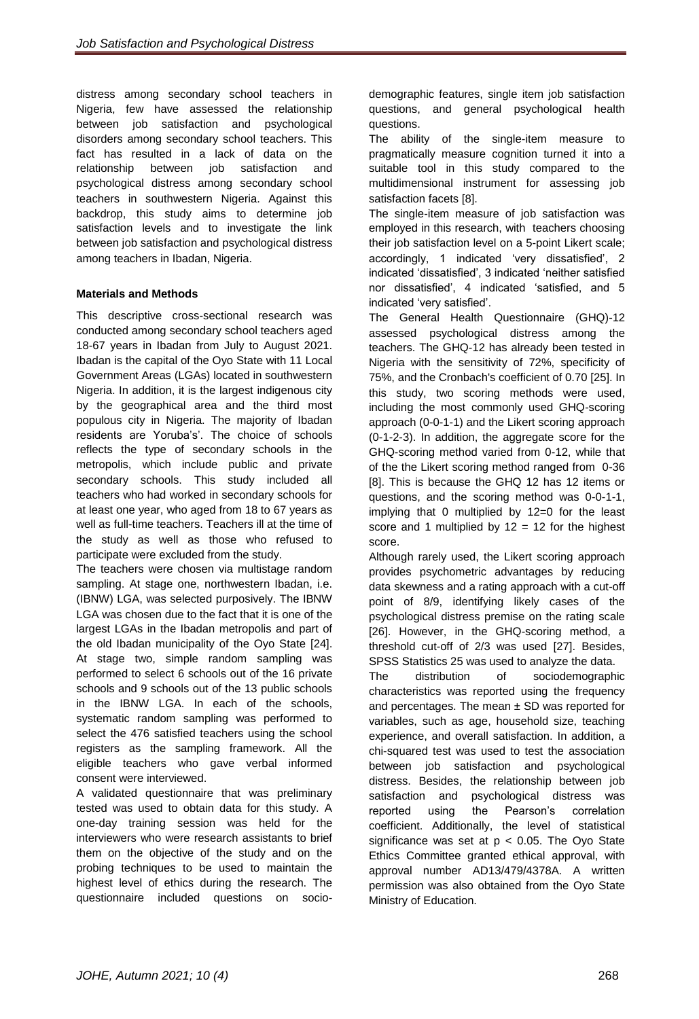distress among secondary school teachers in Nigeria, few have assessed the relationship between job satisfaction and psychological disorders among secondary school teachers. This fact has resulted in a lack of data on the relationship between job satisfaction and psychological distress among secondary school teachers in southwestern Nigeria. Against this backdrop, this study aims to determine job satisfaction levels and to investigate the link between job satisfaction and psychological distress among teachers in Ibadan, Nigeria.

# **Materials and Methods**

This descriptive cross-sectional research was conducted among secondary school teachers aged 18-67 years in Ibadan from July to August 2021. Ibadan is the capital of the Oyo State with 11 Local Government Areas (LGAs) located in southwestern Nigeria. In addition, it is the largest indigenous city by the geographical area and the third most populous city in Nigeria. The majority of Ibadan residents are Yoruba's'. The choice of schools reflects the type of secondary schools in the metropolis, which include public and private secondary schools. This study included all teachers who had worked in secondary schools for at least one year, who aged from 18 to 67 years as well as full-time teachers. Teachers ill at the time of the study as well as those who refused to participate were excluded from the study.

The teachers were chosen via multistage random sampling. At stage one, northwestern Ibadan, i.e. (IBNW) LGA, was selected purposively. The IBNW LGA was chosen due to the fact that it is one of the largest LGAs in the Ibadan metropolis and part of the old Ibadan municipality of the Oyo State [24]. At stage two, simple random sampling was performed to select 6 schools out of the 16 private schools and 9 schools out of the 13 public schools in the IBNW LGA. In each of the schools, systematic random sampling was performed to select the 476 satisfied teachers using the school registers as the sampling framework. All the eligible teachers who gave verbal informed consent were interviewed.

A validated questionnaire that was preliminary tested was used to obtain data for this study. A one-day training session was held for the interviewers who were research assistants to brief them on the objective of the study and on the probing techniques to be used to maintain the highest level of ethics during the research. The questionnaire included questions on socio-

demographic features, single item job satisfaction questions, and general psychological health questions.

The ability of the single-item measure to pragmatically measure cognition turned it into a suitable tool in this study compared to the multidimensional instrument for assessing job satisfaction facets [8].

The single-item measure of job satisfaction was employed in this research, with teachers choosing their job satisfaction level on a 5-point Likert scale; accordingly, 1 indicated 'very dissatisfied', 2 indicated 'dissatisfied', 3 indicated 'neither satisfied nor dissatisfied', 4 indicated 'satisfied, and 5 indicated 'very satisfied'.

The General Health Questionnaire (GHQ)-12 assessed psychological distress among the teachers. The GHQ-12 has already been tested in Nigeria with the sensitivity of 72%, specificity of 75%, and the Cronbach's coefficient of 0.70 [25]. In this study, two scoring methods were used, including the most commonly used GHQ-scoring approach (0-0-1-1) and the Likert scoring approach (0-1-2-3). In addition, the aggregate score for the GHQ-scoring method varied from 0-12, while that of the the Likert scoring method ranged from 0-36 [8]. This is because the GHQ 12 has 12 items or questions, and the scoring method was 0-0-1-1, implying that 0 multiplied by 12=0 for the least score and 1 multiplied by  $12 = 12$  for the highest score.

Although rarely used, the Likert scoring approach provides psychometric advantages by reducing data skewness and a rating approach with a cut-off point of 8/9, identifying likely cases of the psychological distress premise on the rating scale [26]. However, in the GHQ-scoring method, a threshold cut-off of 2/3 was used [27]. Besides, SPSS Statistics 25 was used to analyze the data.

The distribution of sociodemographic characteristics was reported using the frequency and percentages. The mean  $\pm$  SD was reported for variables, such as age, household size, teaching experience, and overall satisfaction. In addition, a chi-squared test was used to test the association between job satisfaction and psychological distress. Besides, the relationship between job satisfaction and psychological distress was reported using the Pearson's correlation coefficient. Additionally, the level of statistical significance was set at  $p < 0.05$ . The Oyo State Ethics Committee granted ethical approval, with approval number AD13/479/4378A. A written permission was also obtained from the Oyo State Ministry of Education.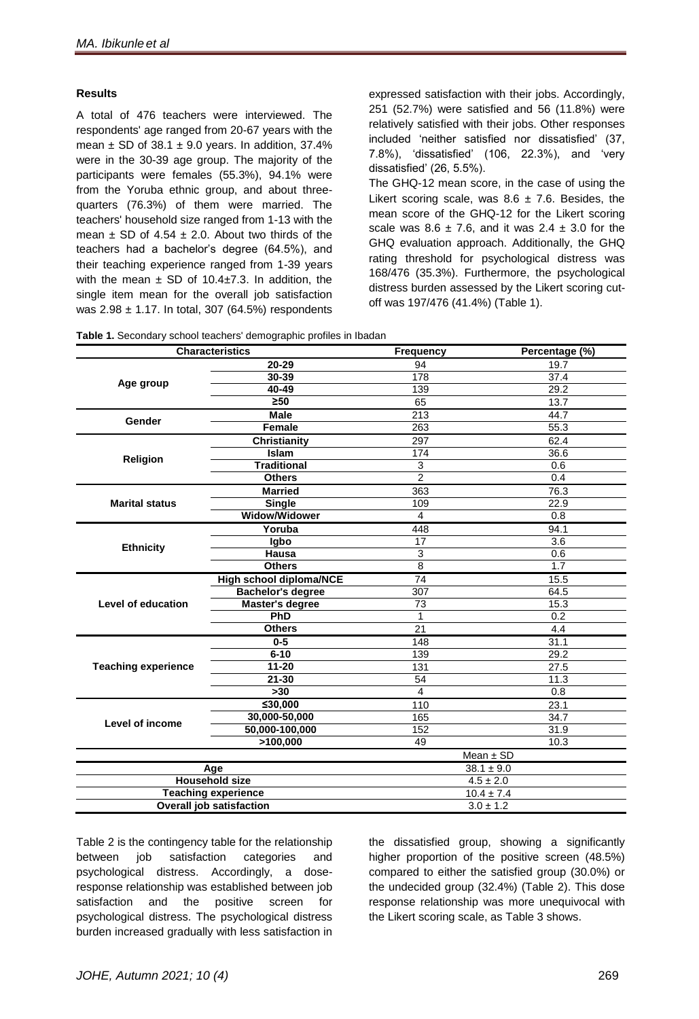#### **Results**

A total of 476 teachers were interviewed. The respondents' age ranged from 20-67 years with the mean  $\pm$  SD of 38.1  $\pm$  9.0 years. In addition, 37.4% were in the 30-39 age group. The majority of the participants were females (55.3%), 94.1% were from the Yoruba ethnic group, and about threequarters (76.3%) of them were married. The teachers' household size ranged from 1-13 with the mean  $\pm$  SD of 4.54  $\pm$  2.0. About two thirds of the teachers had a bachelor's degree (64.5%), and their teaching experience ranged from 1-39 years with the mean  $\pm$  SD of 10.4 $\pm$ 7.3. In addition, the single item mean for the overall job satisfaction was  $2.98 \pm 1.17$ . In total, 307 (64.5%) respondents

expressed satisfaction with their jobs. Accordingly, 251 (52.7%) were satisfied and 56 (11.8%) were relatively satisfied with their jobs. Other responses included 'neither satisfied nor dissatisfied' (37, 7.8%), 'dissatisfied' (106, 22.3%), and 'very dissatisfied' (26, 5.5%).

The GHQ-12 mean score, in the case of using the Likert scoring scale, was  $8.6 \pm 7.6$ . Besides, the mean score of the GHQ-12 for the Likert scoring scale was  $8.6 \pm 7.6$ , and it was  $2.4 \pm 3.0$  for the GHQ evaluation approach. Additionally, the GHQ rating threshold for psychological distress was 168/476 (35.3%). Furthermore, the psychological distress burden assessed by the Likert scoring cutoff was 197/476 (41.4%) (Table 1).

|  |  |  |  | Table 1. Secondary school teachers' demographic profiles in Ibadan |  |  |  |
|--|--|--|--|--------------------------------------------------------------------|--|--|--|
|--|--|--|--|--------------------------------------------------------------------|--|--|--|

|                            | <b>Characteristics</b>         | <b>Frequency</b> | Percentage (%)   |  |
|----------------------------|--------------------------------|------------------|------------------|--|
|                            | 20-29                          | 94               | 19.7             |  |
|                            | $30 - 39$                      | 178              | 37.4             |  |
| Age group                  | $40 - 49$                      | 139              | 29.2             |  |
|                            | $\overline{\geq}50$            | 65               | 13.7             |  |
| Gender                     | <b>Male</b>                    | $\overline{213}$ | 44.7             |  |
|                            | Female                         | 263              | 55.3             |  |
|                            | <b>Christianity</b>            | 297              | 62.4             |  |
|                            | Islam                          | 174              | 36.6             |  |
| <b>Religion</b>            | <b>Traditional</b>             | $\overline{3}$   | 0.6              |  |
|                            | <b>Others</b>                  | $\overline{2}$   | 0.4              |  |
|                            | <b>Married</b>                 | 363              | 76.3             |  |
| <b>Marital status</b>      | <b>Single</b>                  | 109              | 22.9             |  |
|                            | <b>Widow/Widower</b>           | $\overline{4}$   | 0.8              |  |
|                            | Yoruba                         | 448              | 94.1             |  |
|                            | Igbo                           | $\overline{17}$  | $\overline{3.6}$ |  |
| <b>Ethnicity</b>           | Hausa                          | $\overline{3}$   | 0.6              |  |
|                            | <b>Others</b>                  | $\overline{8}$   | 1.7              |  |
|                            | <b>High school diploma/NCE</b> | 74               | 15.5             |  |
|                            | <b>Bachelor's degree</b>       | $\overline{307}$ | 64.5             |  |
| <b>Level of education</b>  | <b>Master's degree</b>         | 73               | 15.3             |  |
|                            | PhD                            | 1                | 0.2              |  |
|                            | <b>Others</b>                  | $\overline{21}$  | 4.4              |  |
|                            | $0-5$                          | 148              | 31.1             |  |
|                            | $6 - 10$                       | 139              | 29.2             |  |
| <b>Teaching experience</b> | $11 - 20$                      | 131              | 27.5             |  |
|                            | $21 - 30$                      | 54               | 11.3             |  |
|                            | >30                            | $\overline{4}$   | 0.8              |  |
|                            | ≤30,000                        | 110              | 23.1             |  |
| <b>Level of income</b>     | 30,000-50,000                  | 165              | 34.7             |  |
|                            | 50,000-100,000                 | 152              | 31.9             |  |
|                            | >100,000                       | 49               | 10.3             |  |
|                            |                                | Mean $\pm$ SD    |                  |  |
| Age                        |                                |                  | $38.1 \pm 9.0$   |  |
| <b>Household size</b>      |                                | $4.5 \pm 2.0$    |                  |  |
| <b>Teaching experience</b> |                                |                  | $10.4 \pm 7.4$   |  |
| Overall job satisfaction   |                                | $3.0 \pm 1.2$    |                  |  |

Table 2 is the contingency table for the relationship between job satisfaction categories and psychological distress. Accordingly, a doseresponse relationship was established between job satisfaction and the positive screen for psychological distress. The psychological distress burden increased gradually with less satisfaction in

the dissatisfied group, showing a significantly higher proportion of the positive screen (48.5%) compared to either the satisfied group (30.0%) or the undecided group (32.4%) (Table 2). This dose response relationship was more unequivocal with the Likert scoring scale, as Table 3 shows.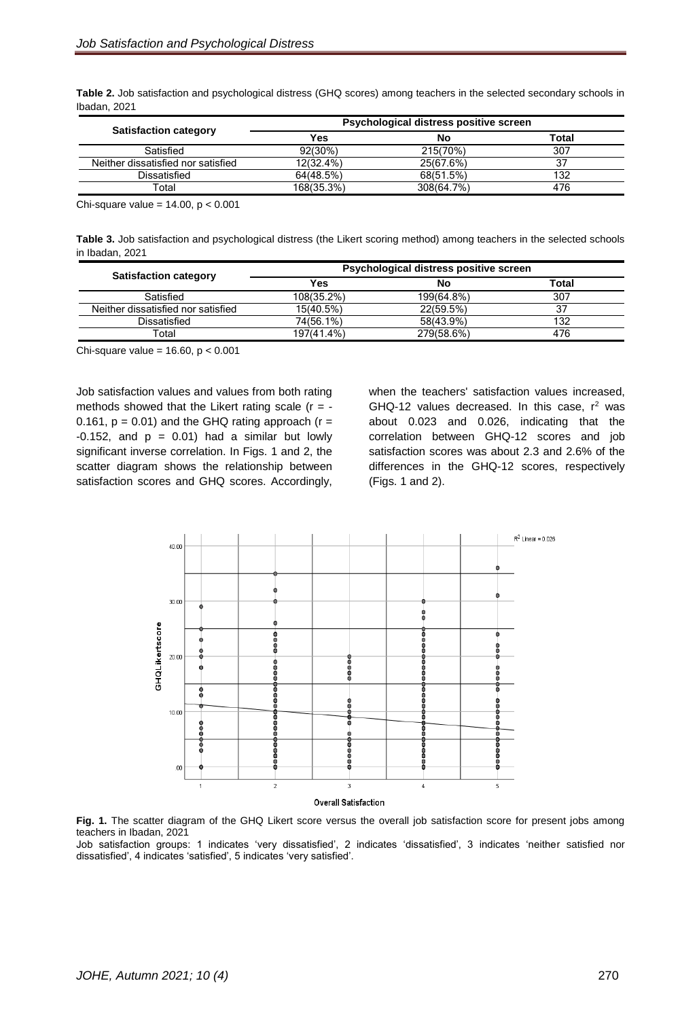**Table 2.** Job satisfaction and psychological distress (GHQ scores) among teachers in the selected secondary schools in Ibadan, 2021

|                                    |            | Psychological distress positive screen |       |
|------------------------------------|------------|----------------------------------------|-------|
| <b>Satisfaction category</b>       | Yes        | No                                     | Total |
| Satisfied                          | 92(30%)    | 215(70%)                               | 307   |
| Neither dissatisfied nor satisfied | 12(32.4%)  | 25(67.6%)                              | 37    |
| Dissatisfied                       | 64(48.5%)  | 68(51.5%)                              | 132   |
| Гоtal                              | 168(35.3%) | 308(64.7%)                             | 476   |

Chi-square value =  $14.00$ ,  $p < 0.001$ 

**Table 3.** Job satisfaction and psychological distress (the Likert scoring method) among teachers in the selected schools in Ibadan, 2021

| <b>Satisfaction category</b>       | Psychological distress positive screen |            |       |
|------------------------------------|----------------------------------------|------------|-------|
|                                    | Yes                                    | No         | Total |
| Satisfied                          | 108(35.2%)                             | 199(64.8%) | 307   |
| Neither dissatisfied nor satisfied | 15(40.5%)                              | 22(59.5%)  | 37    |
| Dissatisfied                       | 74(56.1%)                              | 58(43.9%)  | 132   |
| Total                              | 197(41.4%)                             | 279(58.6%) | 476   |

Chi-square value =  $16.60$ ,  $p < 0.001$ 

Job satisfaction values and values from both rating methods showed that the Likert rating scale ( $r = -$ 0.161,  $p = 0.01$ ) and the GHQ rating approach ( $r =$ -0.152, and  $p = 0.01$ ) had a similar but lowly significant inverse correlation. In Figs. 1 and 2, the scatter diagram shows the relationship between satisfaction scores and GHQ scores. Accordingly,

when the teachers' satisfaction values increased, GHQ-12 values decreased. In this case,  $r^2$  was about 0.023 and 0.026, indicating that the correlation between GHQ-12 scores and job satisfaction scores was about 2.3 and 2.6% of the differences in the GHQ-12 scores, respectively (Figs. 1 and 2).



Fig. 1. The scatter diagram of the GHQ Likert score versus the overall job satisfaction score for present jobs among teachers in Ibadan, 2021

Job satisfaction groups: 1 indicates 'very dissatisfied', 2 indicates 'dissatisfied', 3 indicates 'neither satisfied nor dissatisfied', 4 indicates 'satisfied', 5 indicates 'very satisfied'.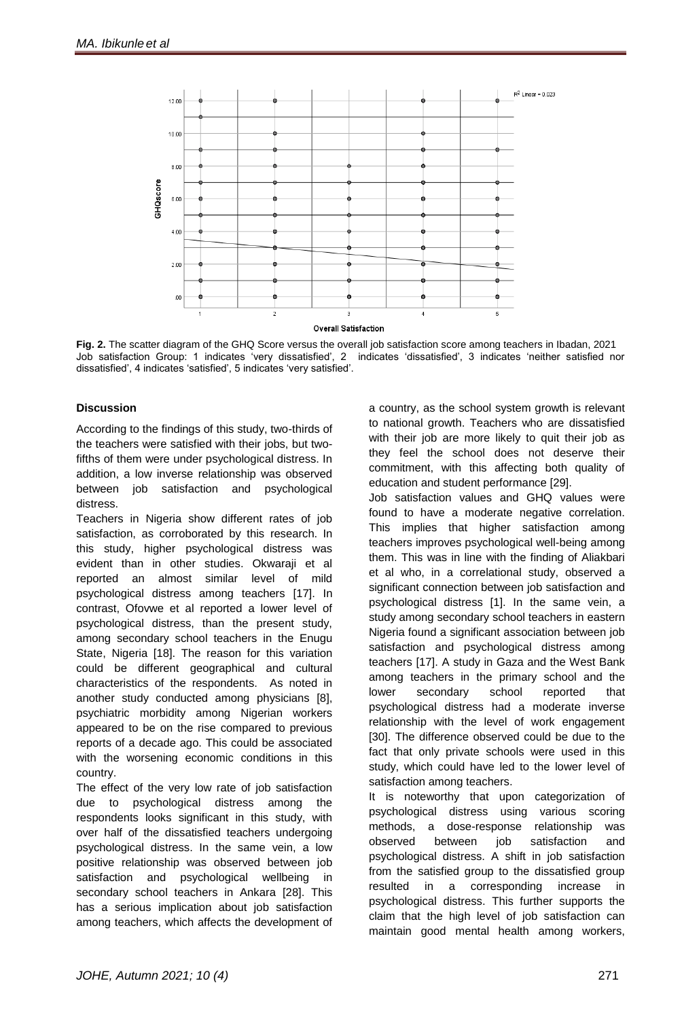

**Fig. 2.** The scatter diagram of the GHQ Score versus the overall job satisfaction score among teachers in Ibadan, 2021 Job satisfaction Group: 1 indicates 'very dissatisfied', 2 indicates 'dissatisfied', 3 indicates 'neither satisfied nor dissatisfied', 4 indicates 'satisfied', 5 indicates 'very satisfied'.

#### **Discussion**

According to the findings of this study, two-thirds of the teachers were satisfied with their jobs, but twofifths of them were under psychological distress. In addition, a low inverse relationship was observed between job satisfaction and psychological distress.

Teachers in Nigeria show different rates of job satisfaction, as corroborated by this research. In this study, higher psychological distress was evident than in other studies. Okwaraji et al reported an almost similar level of mild psychological distress among teachers [17]. In contrast, Ofovwe et al reported a lower level of psychological distress, than the present study, among secondary school teachers in the Enugu State, Nigeria [18]. The reason for this variation could be different geographical and cultural characteristics of the respondents. As noted in another study conducted among physicians [8], psychiatric morbidity among Nigerian workers appeared to be on the rise compared to previous reports of a decade ago. This could be associated with the worsening economic conditions in this country.

The effect of the very low rate of job satisfaction due to psychological distress among the respondents looks significant in this study, with over half of the dissatisfied teachers undergoing psychological distress. In the same vein, a low positive relationship was observed between job satisfaction and psychological wellbeing in secondary school teachers in Ankara [28]. This has a serious implication about job satisfaction among teachers, which affects the development of a country, as the school system growth is relevant to national growth. Teachers who are dissatisfied with their job are more likely to quit their job as they feel the school does not deserve their commitment, with this affecting both quality of education and student performance [29].

Job satisfaction values and GHQ values were found to have a moderate negative correlation. This implies that higher satisfaction among teachers improves psychological well-being among them. This was in line with the finding of Aliakbari et al who, in a correlational study, observed a significant connection between job satisfaction and psychological distress [1]. In the same vein, a study among secondary school teachers in eastern Nigeria found a significant association between job satisfaction and psychological distress among teachers [17]. A study in Gaza and the West Bank among teachers in the primary school and the lower secondary school reported that psychological distress had a moderate inverse relationship with the level of work engagement [30]. The difference observed could be due to the fact that only private schools were used in this study, which could have led to the lower level of satisfaction among teachers.

It is noteworthy that upon categorization of psychological distress using various scoring methods, a dose-response relationship was observed between job satisfaction and psychological distress. A shift in job satisfaction from the satisfied group to the dissatisfied group resulted in a corresponding increase in psychological distress. This further supports the claim that the high level of job satisfaction can maintain good mental health among workers,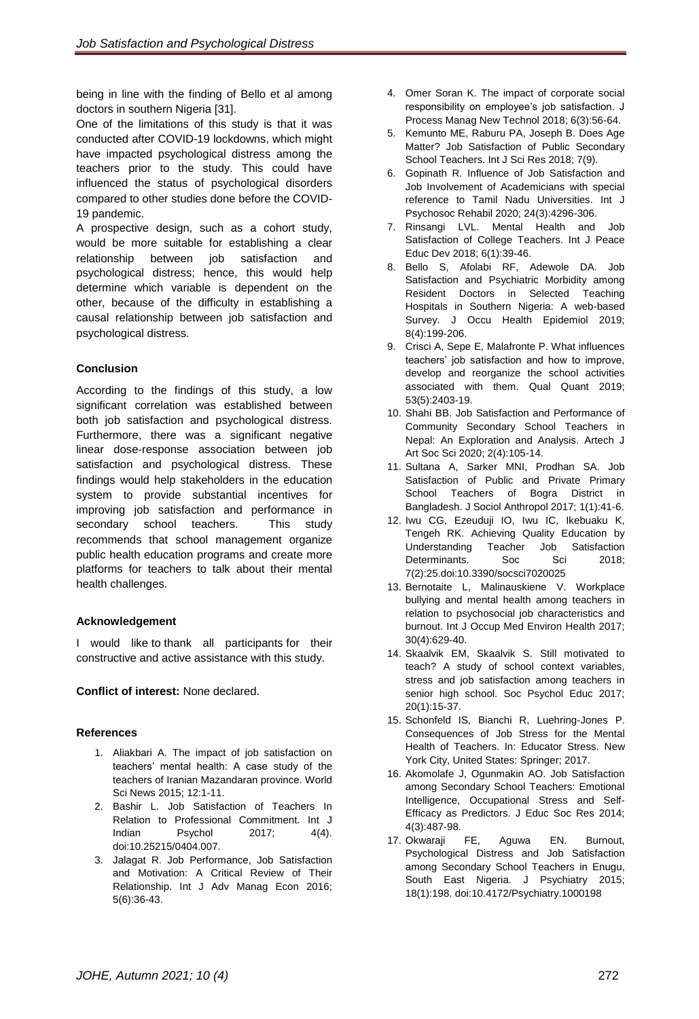being in line with the finding of Bello et al among doctors in southern Nigeria [31].

One of the limitations of this study is that it was conducted after COVID-19 lockdowns, which might have impacted psychological distress among the teachers prior to the study. This could have influenced the status of psychological disorders compared to other studies done before the COVID-19 pandemic.

A prospective design, such as a cohort study, would be more suitable for establishing a clear relationship between job satisfaction and psychological distress; hence, this would help determine which variable is dependent on the other, because of the difficulty in establishing a causal relationship between job satisfaction and psychological distress.

# **Conclusion**

According to the findings of this study, a low significant correlation was established between both job satisfaction and psychological distress. Furthermore, there was a significant negative linear dose-response association between job satisfaction and psychological distress. These findings would help stakeholders in the education system to provide substantial incentives for improving job satisfaction and performance in secondary school teachers. This study recommends that school management organize public health education programs and create more platforms for teachers to talk about their mental health challenges.

# **Acknowledgement**

I would like to thank all participants for their constructive and active assistance with this study.

# **Conflict of interest:** None declared.

# **References**

- 1. Aliakbari A. The impact of job satisfaction on teachers' mental health: A case study of the teachers of Iranian Mazandaran province. World Sci News 2015; 12:1-11.
- 2. Bashir L. Job Satisfaction of Teachers In Relation to Professional Commitment. Int J Indian Psychol 2017; 4(4). doi:10.25215/0404.007.
- 3. Jalagat R. Job Performance, Job Satisfaction and Motivation: A Critical Review of Their Relationship. Int J Adv Manag Econ 2016; 5(6):36-43.
- 4. Omer Soran K. The impact of corporate social responsibility on employee's job satisfaction. J Process Manag New Technol 2018; 6(3):56-64.
- 5. Kemunto ME, Raburu PA, Joseph B. Does Age Matter? Job Satisfaction of Public Secondary School Teachers. Int J Sci Res 2018; 7(9).
- 6. Gopinath R. Influence of Job Satisfaction and Job Involvement of Academicians with special reference to Tamil Nadu Universities. Int J Psychosoc Rehabil 2020; 24(3):4296-306.
- 7. Rinsangi LVL. Mental Health and Job Satisfaction of College Teachers. Int J Peace Educ Dev 2018; 6(1):39-46.
- 8. Bello S, Afolabi RF, Adewole DA. Job Satisfaction and Psychiatric Morbidity among Resident Doctors in Selected Teaching Hospitals in Southern Nigeria: A web-based Survey. J Occu Health Epidemiol 2019; 8(4):199-206.
- 9. Crisci A, Sepe E, Malafronte P. What influences teachers' job satisfaction and how to improve, develop and reorganize the school activities associated with them. Qual Quant 2019; 53(5):2403-19.
- 10. Shahi BB. Job Satisfaction and Performance of Community Secondary School Teachers in Nepal: An Exploration and Analysis. Artech J Art Soc Sci 2020; 2(4):105-14.
- 11. Sultana A, Sarker MNI, Prodhan SA. Job Satisfaction of Public and Private Primary School Teachers of Bogra District in Bangladesh. J Sociol Anthropol 2017; 1(1):41-6.
- 12. Iwu CG, Ezeuduji IO, Iwu IC, Ikebuaku K, Tengeh RK. Achieving Quality Education by Understanding Teacher Job Satisfaction Determinants. Soc Sci 2018; 7(2):25.doi:10.3390/socsci7020025
- 13. Bernotaite L, Malinauskiene V. Workplace bullying and mental health among teachers in relation to psychosocial job characteristics and burnout. Int J Occup Med Environ Health 2017; 30(4):629-40.
- 14. Skaalvik EM, Skaalvik S. Still motivated to teach? A study of school context variables, stress and job satisfaction among teachers in senior high school. Soc Psychol Educ 2017; 20(1):15-37.
- 15. Schonfeld IS, Bianchi R, Luehring-Jones P. Consequences of Job Stress for the Mental Health of Teachers. In: Educator Stress. [New](https://en.wikipedia.org/wiki/New_York_City)  [York City,](https://en.wikipedia.org/wiki/New_York_City) [United States:](https://en.wikipedia.org/wiki/United_States) Springer; 2017.
- 16. Akomolafe J, Ogunmakin AO. Job Satisfaction among Secondary School Teachers: Emotional Intelligence, Occupational Stress and Self-Efficacy as Predictors. J Educ Soc Res 2014; 4(3):487-98.
- 17. Okwaraji FE, Aguwa EN. Burnout, Psychological Distress and Job Satisfaction among Secondary School Teachers in Enugu, South East Nigeria. J Psychiatry 2015; 18(1):198. doi:10.4172/Psychiatry.1000198